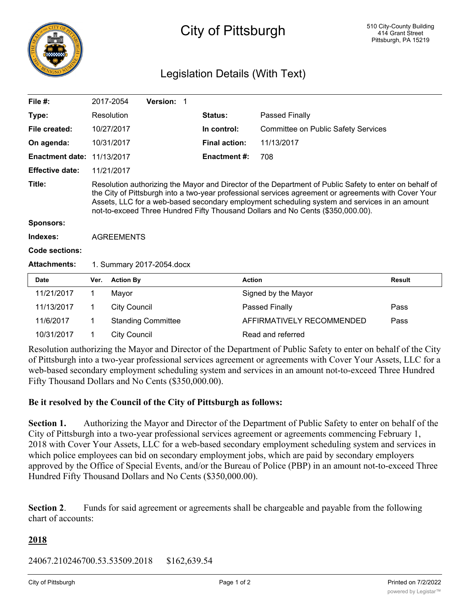

# City of Pittsburgh

# Legislation Details (With Text)

| File $#$ :             |                                                                                                                                                                                                                                                                                                                                                                                                   | 2017-2054           | <b>Version: 1</b>         |  |                      |                                            |               |
|------------------------|---------------------------------------------------------------------------------------------------------------------------------------------------------------------------------------------------------------------------------------------------------------------------------------------------------------------------------------------------------------------------------------------------|---------------------|---------------------------|--|----------------------|--------------------------------------------|---------------|
| Type:                  |                                                                                                                                                                                                                                                                                                                                                                                                   | Resolution          |                           |  | <b>Status:</b>       | Passed Finally                             |               |
| File created:          |                                                                                                                                                                                                                                                                                                                                                                                                   | 10/27/2017          |                           |  | In control:          | <b>Committee on Public Safety Services</b> |               |
| On agenda:             |                                                                                                                                                                                                                                                                                                                                                                                                   | 10/31/2017          |                           |  | <b>Final action:</b> | 11/13/2017                                 |               |
| <b>Enactment date:</b> |                                                                                                                                                                                                                                                                                                                                                                                                   | 11/13/2017          |                           |  | <b>Enactment #:</b>  | 708                                        |               |
| <b>Effective date:</b> |                                                                                                                                                                                                                                                                                                                                                                                                   | 11/21/2017          |                           |  |                      |                                            |               |
| Title:                 | Resolution authorizing the Mayor and Director of the Department of Public Safety to enter on behalf of<br>the City of Pittsburgh into a two-year professional services agreement or agreements with Cover Your<br>Assets, LLC for a web-based secondary employment scheduling system and services in an amount<br>not-to-exceed Three Hundred Fifty Thousand Dollars and No Cents (\$350,000.00). |                     |                           |  |                      |                                            |               |
| <b>Sponsors:</b>       |                                                                                                                                                                                                                                                                                                                                                                                                   |                     |                           |  |                      |                                            |               |
| Indexes:               | <b>AGREEMENTS</b>                                                                                                                                                                                                                                                                                                                                                                                 |                     |                           |  |                      |                                            |               |
| Code sections:         |                                                                                                                                                                                                                                                                                                                                                                                                   |                     |                           |  |                      |                                            |               |
| <b>Attachments:</b>    | 1. Summary 2017-2054.docx                                                                                                                                                                                                                                                                                                                                                                         |                     |                           |  |                      |                                            |               |
| <b>Date</b>            | Ver.                                                                                                                                                                                                                                                                                                                                                                                              | <b>Action By</b>    |                           |  | <b>Action</b>        |                                            | <b>Result</b> |
| 11/21/2017             | 1                                                                                                                                                                                                                                                                                                                                                                                                 | Mayor               |                           |  |                      | Signed by the Mayor                        |               |
| 11/13/2017             | 1                                                                                                                                                                                                                                                                                                                                                                                                 | <b>City Council</b> |                           |  |                      | Passed Finally                             | Pass          |
| 11/6/2017              | 1                                                                                                                                                                                                                                                                                                                                                                                                 |                     | <b>Standing Committee</b> |  |                      | AFFIRMATIVELY RECOMMENDED                  | Pass          |
| 10/31/2017             | 1                                                                                                                                                                                                                                                                                                                                                                                                 | <b>City Council</b> |                           |  |                      | Read and referred                          |               |

Resolution authorizing the Mayor and Director of the Department of Public Safety to enter on behalf of the City of Pittsburgh into a two-year professional services agreement or agreements with Cover Your Assets, LLC for a web-based secondary employment scheduling system and services in an amount not-to-exceed Three Hundred Fifty Thousand Dollars and No Cents (\$350,000.00).

#### **Be it resolved by the Council of the City of Pittsburgh as follows:**

**Section 1.** Authorizing the Mayor and Director of the Department of Public Safety to enter on behalf of the City of Pittsburgh into a two-year professional services agreement or agreements commencing February 1, 2018 with Cover Your Assets, LLC for a web-based secondary employment scheduling system and services in which police employees can bid on secondary employment jobs, which are paid by secondary employers approved by the Office of Special Events, and/or the Bureau of Police (PBP) in an amount not-to-exceed Three Hundred Fifty Thousand Dollars and No Cents (\$350,000.00).

**Section 2**. Funds for said agreement or agreements shall be chargeable and payable from the following chart of accounts:

#### **2018**

24067.210246700.53.53509.2018 \$162,639.54